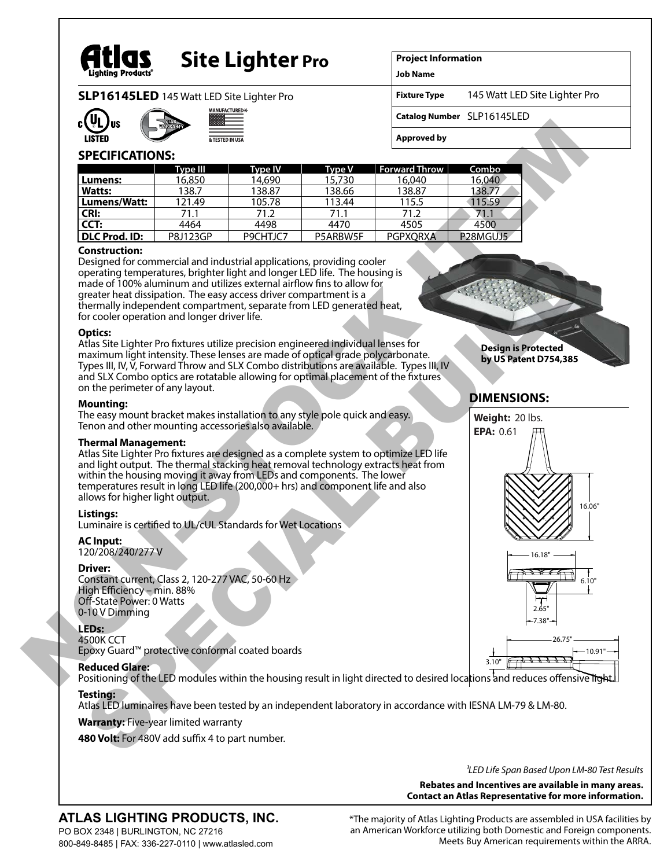

# **Site Lighter Pro**

**Project Information**

**Job Name Fixture Type**

**SLP16145LED** 145 Watt LED Site Lighter Pro





**Catalog Number** SLP16145LED

**Approved by**

# **SPECIFICATIONS:**

|               | Type III | <b>Type IV</b> | <b>Type V</b> | <b>Forward Throw</b> | Combo                             |
|---------------|----------|----------------|---------------|----------------------|-----------------------------------|
| Lumens:       | 16,850   | 14.690         | 15,730        | 16,040               | 16,040                            |
| <b>Watts:</b> | 138.7    | 138.87         | 138.66        | 138.87               | 138.77                            |
| Lumens/Watt:  | 121.49   | 105.78         | 113.44        | 115.5                | 115.59                            |
| <b>CRI:</b>   | 71.1     | 71.2           | 71.1          | 71.2                 | 71.1                              |
| CCT:          | 4464     | 4498           | 4470          | 4505                 | 4500                              |
| DLC Prod. ID: | P8J123GP | P9CHTJC7       | P5ARBW5F      | <b>PGPXORXA</b>      | P <sub>28</sub> MGUJ <sub>5</sub> |

# **Construction:**

Designed for commercial and industrial applications, providing cooler operating temperatures, brighter light and longer LED life. The housing is made of 100% aluminum and utilizes external airflow fins to allow for greater heat dissipation. The easy access driver compartment is a thermally independent compartment, separate from LED generated heat, for cooler operation and longer driver life.

#### **Optics:**

Atlas Site Lighter Pro fixtures utilize precision engineered individual lenses for maximum light intensity. These lenses are made of optical grade polycarbonate. Types III, IV, V, Forward Throw and SLX Combo distributions are available. Types III, IV and SLX Combo optics are rotatable allowing for optimal placement of the fixtures on the perimeter of any layout.

#### **Mounting:**

The easy mount bracket makes installation to any style pole quick and easy. Tenon and other mounting accessories also available.

# **Thermal Management:**

Atlas Site Lighter Pro fixtures are designed as a complete system to optimize LED life and light output. The thermal stacking heat removal technology extracts heat from within the housing moving it away from LEDs and components. The lower temperatures result in long LED life (200,000+ hrs) and component life and also allows for higher light output.

# **Listings:**

Luminaire is certified to UL/cUL Standards for Wet Locations

**AC Input:** 120/208/240/277 V

# **Driver:**

Constant current, Class 2, 120-277 VAC, 50-60 Hz High Efficiency – min. 88% Off-State Power: 0 Watts 0-10 V Dimming

#### **LEDs:**

4500K CCT Epoxy Guard™ protective conformal coated boards

# **Reduced Glare:**

Positioning of the LED modules within the housing result in light directed to desired locations and reduces offensive in

# **Testing:**

Atlas LED luminaires have been tested by an independent laboratory in accordance with IESNA LM-79 & LM-80.

# **Warranty:** Five-year limited warranty

480 Volt: For 480V add suffix 4 to part number.

*1LED Life Span Based Upon LM-80 Test Results*

**Rebates and Incentives are available in many areas. Contact an Atlas Representative for more information.**

# **ATLAS LIGHTING PRODUCTS, INC.**

PO BOX 2348 | BURLINGTON, NC 27216 800-849-8485 | FAX: 336-227-0110 | www.atlasled.com \*The majority of Atlas Lighting Products are assembled in USA facilities by an American Workforce utilizing both Domestic and Foreign components. Meets Buy American requirements within the ARRA.

**Design is Protected by US Patent D754,385**

145 Watt LED Site Lighter Pro

# **DIMENSIONS:**